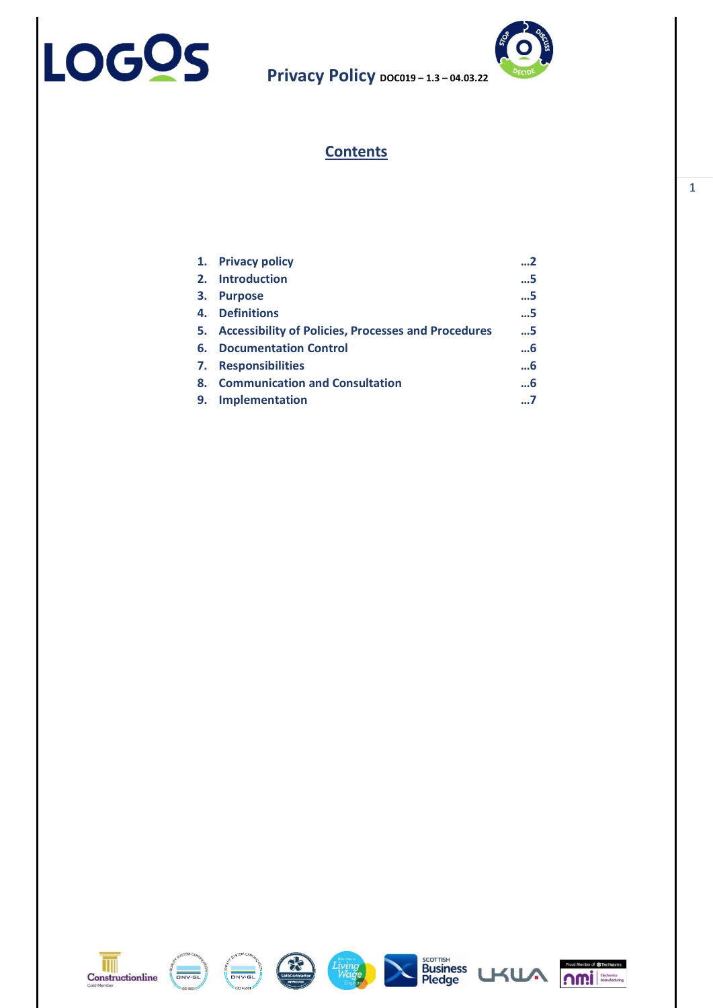



# **Contents**

| 1. | <b>Privacy policy</b>                                  | 2     |
|----|--------------------------------------------------------|-------|
|    | 2. Introduction                                        | . . 5 |
| 3. | <b>Purpose</b>                                         | . . 5 |
| 4. | <b>Definitions</b>                                     | . . 5 |
|    | 5. Accessibility of Policies, Processes and Procedures | 5     |
| 6. | <b>Documentation Control</b>                           | 6     |
| 7. | <b>Responsibilities</b>                                | …6    |
| 8. | <b>Communication and Consultation</b>                  | 6     |
| 9. | <b>Implementation</b>                                  | 7     |
|    |                                                        |       |













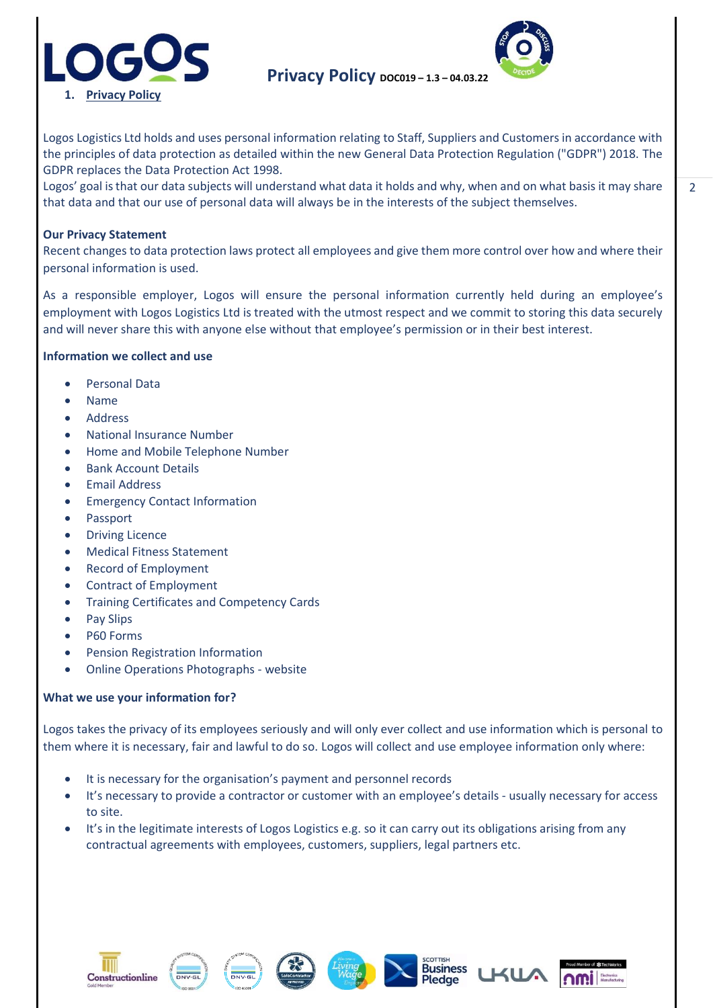



Logos Logistics Ltd holds and uses personal information relating to Staff, Suppliers and Customers in accordance with the principles of data protection as detailed within the new General Data Protection Regulation ("GDPR") 2018. The GDPR replaces the Data Protection Act 1998.

Logos' goal is that our data subjects will understand what data it holds and why, when and on what basis it may share that data and that our use of personal data will always be in the interests of the subject themselves.

#### **Our Privacy Statement**

Recent changes to data protection laws protect all employees and give them more control over how and where their personal information is used.

As a responsible employer, Logos will ensure the personal information currently held during an employee's employment with Logos Logistics Ltd is treated with the utmost respect and we commit to storing this data securely and will never share this with anyone else without that employee's permission or in their best interest.

#### **Information we collect and use**

- Personal Data
- Name
- Address
- National Insurance Number
- Home and Mobile Telephone Number
- Bank Account Details
- Email Address
- **Emergency Contact Information**
- Passport
- **Driving Licence**
- Medical Fitness Statement
- Record of Employment
- Contract of Employment
- Training Certificates and Competency Cards
- Pay Slips
- P60 Forms
- Pension Registration Information
- Online Operations Photographs website

#### **What we use your information for?**

Logos takes the privacy of its employees seriously and will only ever collect and use information which is personal to them where it is necessary, fair and lawful to do so. Logos will collect and use employee information only where:

- It is necessary for the organisation's payment and personnel records
- It's necessary to provide a contractor or customer with an employee's details usually necessary for access to site.
- It's in the legitimate interests of Logos Logistics e.g. so it can carry out its obligations arising from any contractual agreements with employees, customers, suppliers, legal partners etc.











 $\overline{a}$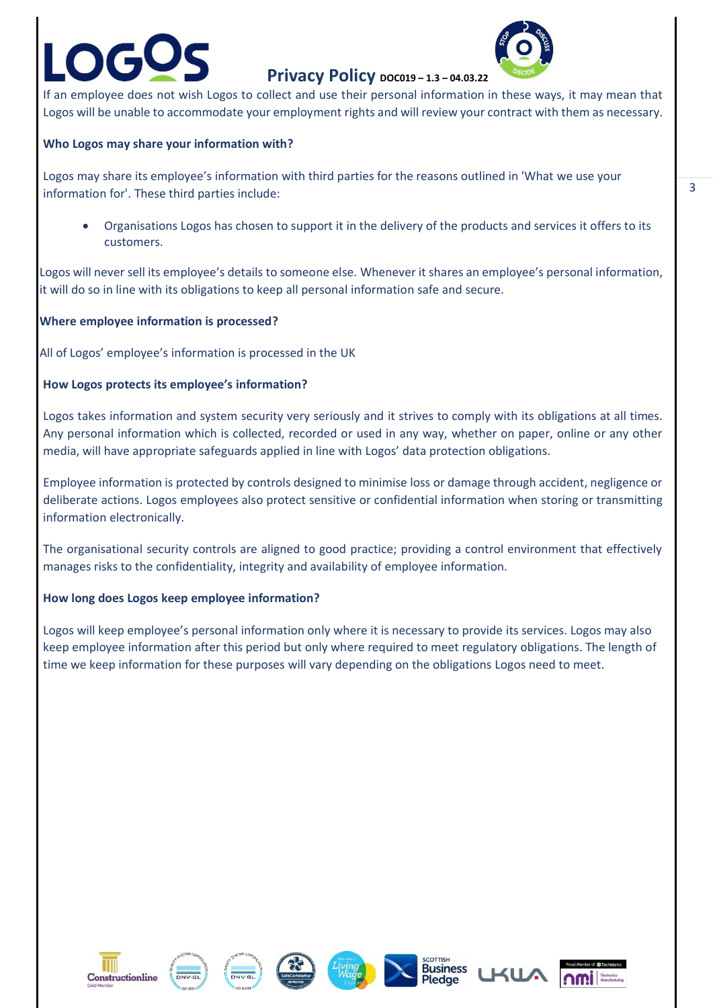

# **Privacy Policy DOC019 - 1.3 - 04.03.22**

If an employee does not wish Logos to collect and use their personal information in these ways, it may mean that Logos will be unable to accommodate your employment rights and will review your contract with them as necessary.

### **Who Logos may share your information with?**

Logos may share its employee's information with third parties for the reasons outlined in 'What we use your information for'. These third parties include:

• Organisations Logos has chosen to support it in the delivery of the products and services it offers to its customers.

Logos will never sell its employee's details to someone else. Whenever it shares an employee's personal information, it will do so in line with its obligations to keep all personal information safe and secure.

#### **Where employee information is processed?**

All of Logos' employee's information is processed in the UK

#### **How Logos protects its employee's information?**

Logos takes information and system security very seriously and it strives to comply with its obligations at all times. Any personal information which is collected, recorded or used in any way, whether on paper, online or any other media, will have appropriate safeguards applied in line with Logos' data protection obligations.

Employee information is protected by controls designed to minimise loss or damage through accident, negligence or deliberate actions. Logos employees also protect sensitive or confidential information when storing or transmitting information electronically.

The organisational security controls are aligned to good practice; providing a control environment that effectively manages risks to the confidentiality, integrity and availability of employee information.

#### **How long does Logos keep employee information?**

Logos will keep employee's personal information only where it is necessary to provide its services. Logos may also keep employee information after this period but only where required to meet regulatory obligations. The length of time we keep information for these purposes will vary depending on the obligations Logos need to meet.















3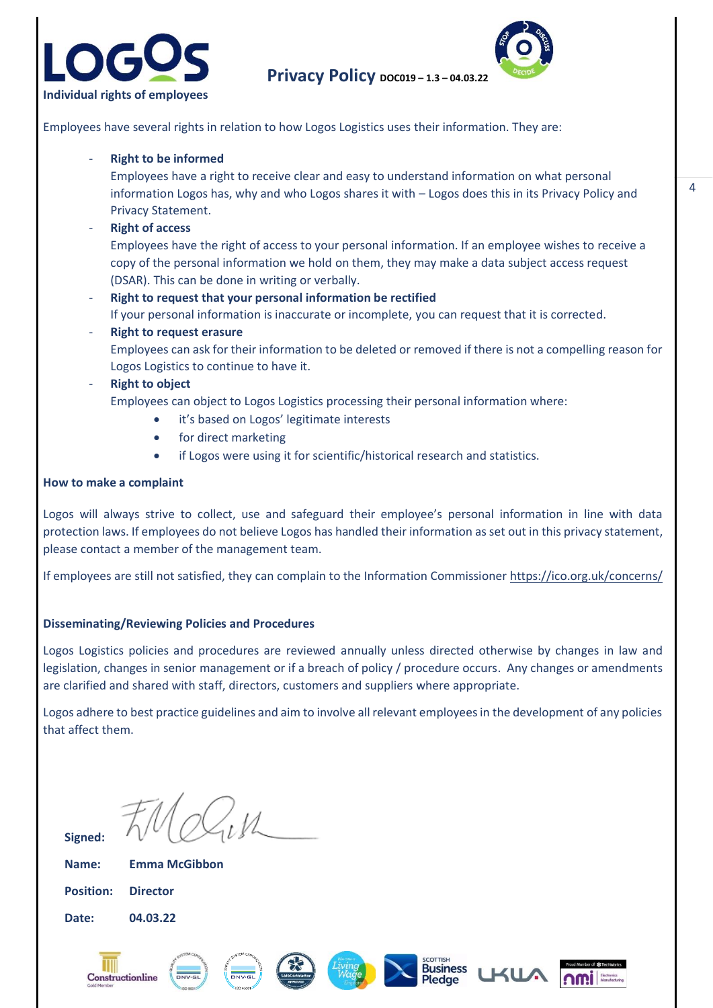



**Privacy Policy DOC019 – 1.3 – 04.03.22**

Employees have several rights in relation to how Logos Logistics uses their information. They are:

#### - **Right to be informed**

Employees have a right to receive clear and easy to understand information on what personal information Logos has, why and who Logos shares it with – Logos does this in its Privacy Policy and Privacy Statement.

#### - **Right of access**

Employees have the right of access to your personal information. If an employee wishes to receive a copy of the personal information we hold on them, they may make a data subject access request (DSAR). This can be done in writing or verbally.

#### - **Right to request that your personal information be rectified**

If your personal information is inaccurate or incomplete, you can request that it is corrected.

#### **Right to request erasure**

Employees can ask for their information to be deleted or removed if there is not a compelling reason for Logos Logistics to continue to have it.

#### **Right to object**

Employees can object to Logos Logistics processing their personal information where:

- it's based on Logos' legitimate interests
- for direct marketing
- if Logos were using it for scientific/historical research and statistics.

#### **How to make a complaint**

Logos will always strive to collect, use and safeguard their employee's personal information in line with data protection laws. If employees do not believe Logos has handled their information as set out in this privacy statement, please contact a member of the management team.

If employees are still not satisfied, they can complain to the Information Commissioner<https://ico.org.uk/concerns/>

#### **Disseminating/Reviewing Policies and Procedures**

Logos Logistics policies and procedures are reviewed annually unless directed otherwise by changes in law and legislation, changes in senior management or if a breach of policy / procedure occurs. Any changes or amendments are clarified and shared with staff, directors, customers and suppliers where appropriate.

Logos adhere to best practice guidelines and aim to involve all relevant employees in the development of any policies that affect them.

**Signed:**

**Name: Emma McGibbon**

**Position: Director Date: 04.03.22**













 $\Delta$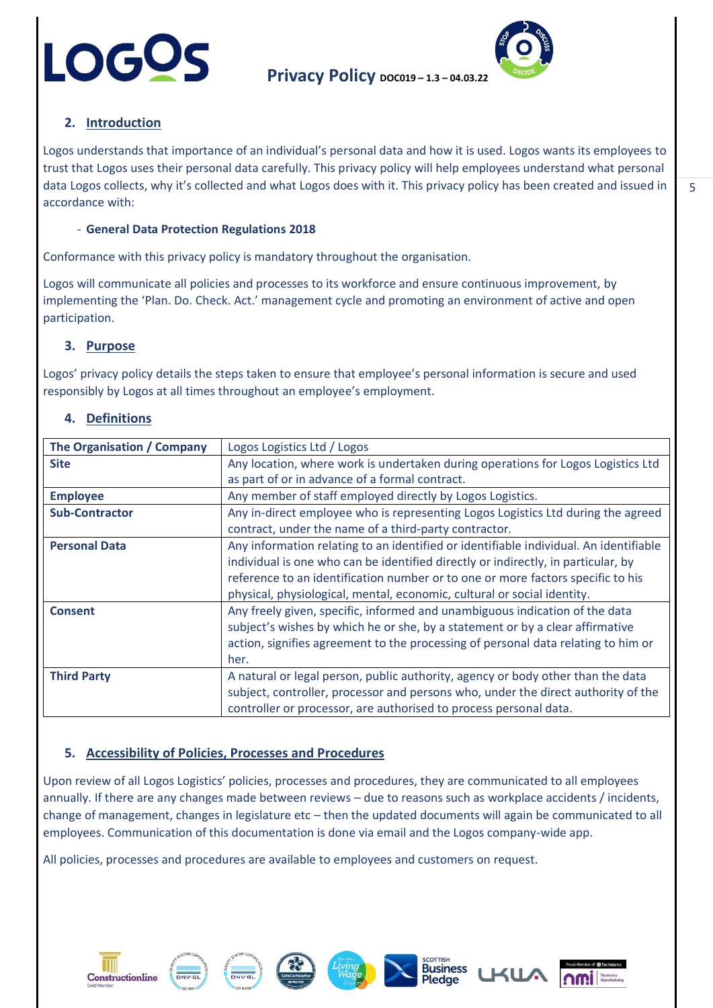



# **2. Introduction**

Logos understands that importance of an individual's personal data and how it is used. Logos wants its employees to trust that Logos uses their personal data carefully. This privacy policy will help employees understand what personal data Logos collects, why it's collected and what Logos does with it. This privacy policy has been created and issued in accordance with:

## - **General Data Protection Regulations 2018**

Conformance with this privacy policy is mandatory throughout the organisation.

Logos will communicate all policies and processes to its workforce and ensure continuous improvement, by implementing the 'Plan. Do. Check. Act.' management cycle and promoting an environment of active and open participation.

## **3. Purpose**

Logos' privacy policy details the steps taken to ensure that employee's personal information is secure and used responsibly by Logos at all times throughout an employee's employment.

## **4. Definitions**

Constructionline

| The Organisation / Company | Logos Logistics Ltd / Logos                                                           |
|----------------------------|---------------------------------------------------------------------------------------|
| <b>Site</b>                | Any location, where work is undertaken during operations for Logos Logistics Ltd      |
|                            | as part of or in advance of a formal contract.                                        |
| <b>Employee</b>            | Any member of staff employed directly by Logos Logistics.                             |
| <b>Sub-Contractor</b>      | Any in-direct employee who is representing Logos Logistics Ltd during the agreed      |
|                            | contract, under the name of a third-party contractor.                                 |
| <b>Personal Data</b>       | Any information relating to an identified or identifiable individual. An identifiable |
|                            | individual is one who can be identified directly or indirectly, in particular, by     |
|                            | reference to an identification number or to one or more factors specific to his       |
|                            | physical, physiological, mental, economic, cultural or social identity.               |
| <b>Consent</b>             | Any freely given, specific, informed and unambiguous indication of the data           |
|                            | subject's wishes by which he or she, by a statement or by a clear affirmative         |
|                            | action, signifies agreement to the processing of personal data relating to him or     |
|                            | her.                                                                                  |
| <b>Third Party</b>         | A natural or legal person, public authority, agency or body other than the data       |
|                            | subject, controller, processor and persons who, under the direct authority of the     |
|                            | controller or processor, are authorised to process personal data.                     |

## **5. Accessibility of Policies, Processes and Procedures**

Upon review of all Logos Logistics' policies, processes and procedures, they are communicated to all employees annually. If there are any changes made between reviews – due to reasons such as workplace accidents / incidents, change of management, changes in legislature etc – then the updated documents will again be communicated to all employees. Communication of this documentation is done via email and the Logos company-wide app.

**Business**<br>Pledge

All policies, processes and procedures are available to employees and customers on request.

 $\overline{a}$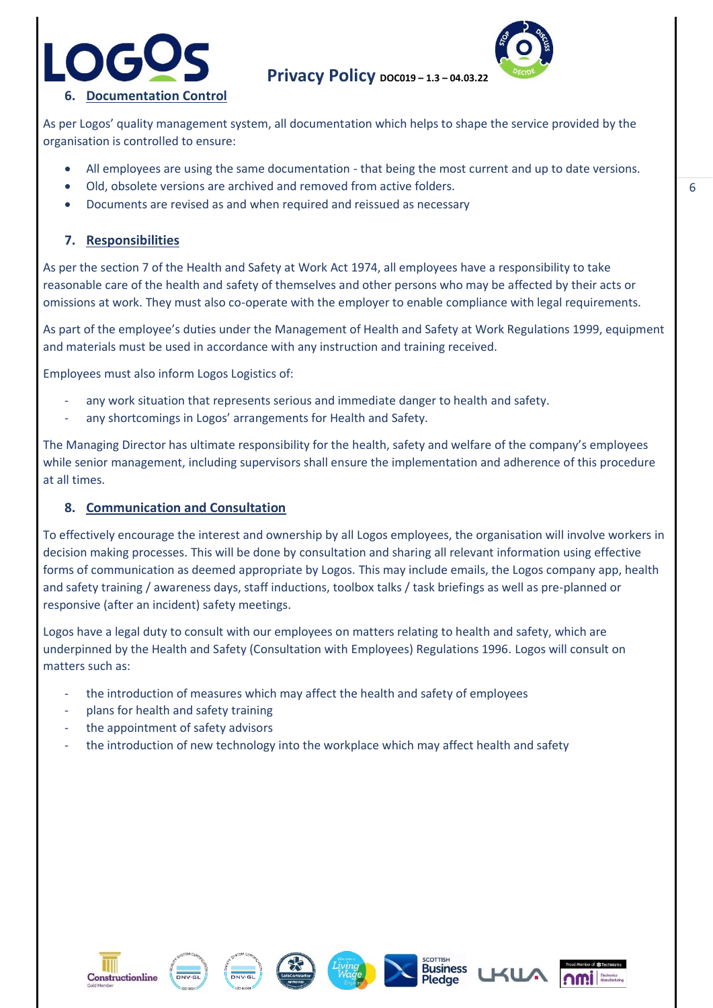



**Privacy Policy DOC019-1.3-04.03.22** 

As per Logos' quality management system, all documentation which helps to shape the service provided by the organisation is controlled to ensure:

- All employees are using the same documentation that being the most current and up to date versions.
- Old, obsolete versions are archived and removed from active folders.
- Documents are revised as and when required and reissued as necessary

## **7. Responsibilities**

As per the section 7 of the Health and Safety at Work Act 1974, all employees have a responsibility to take reasonable care of the health and safety of themselves and other persons who may be affected by their acts or omissions at work. They must also co-operate with the employer to enable compliance with legal requirements.

As part of the employee's duties under the Management of Health and Safety at Work Regulations 1999, equipment and materials must be used in accordance with any instruction and training received.

Employees must also inform Logos Logistics of:

- any work situation that represents serious and immediate danger to health and safety.
- any shortcomings in Logos' arrangements for Health and Safety.

The Managing Director has ultimate responsibility for the health, safety and welfare of the company's employees while senior management, including supervisors shall ensure the implementation and adherence of this procedure at all times.

#### **8. Communication and Consultation**

To effectively encourage the interest and ownership by all Logos employees, the organisation will involve workers in decision making processes. This will be done by consultation and sharing all relevant information using effective forms of communication as deemed appropriate by Logos. This may include emails, the Logos company app, health and safety training / awareness days, staff inductions, toolbox talks / task briefings as well as pre-planned or responsive (after an incident) safety meetings.

Logos have a legal duty to consult with our employees on matters relating to health and safety, which are underpinned by the Health and Safety (Consultation with Employees) Regulations 1996. Logos will consult on matters such as:

- the introduction of measures which may affect the health and safety of employees
- plans for health and safety training
- the appointment of safety advisors
- the introduction of new technology into the workplace which may affect health and safety